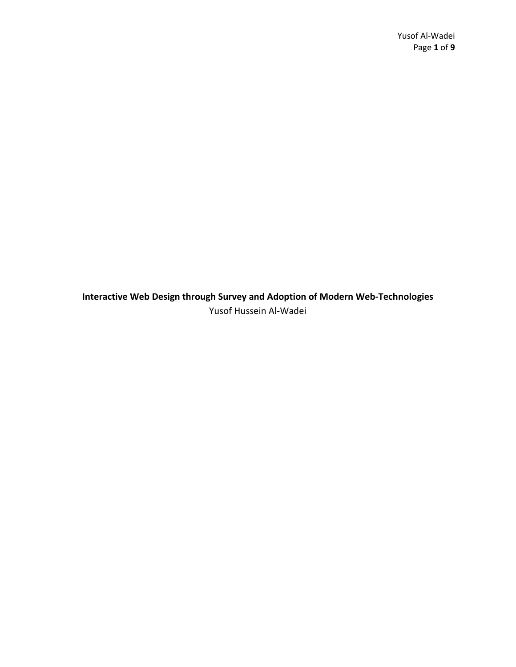**Interactive Web Design through Survey and Adoption of Modern Web-Technologies** Yusof Hussein Al-Wadei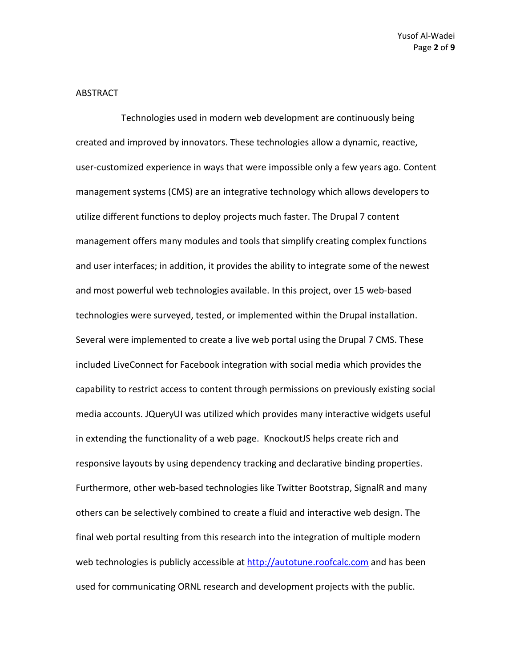#### ABSTRACT

Technologies used in modern web development are continuously being created and improved by innovators. These technologies allow a dynamic, reactive, user-customized experience in ways that were impossible only a few years ago. Content management systems (CMS) are an integrative technology which allows developers to utilize different functions to deploy projects much faster. The Drupal 7 content management offers many modules and tools that simplify creating complex functions and user interfaces; in addition, it provides the ability to integrate some of the newest and most powerful web technologies available. In this project, over 15 web-based technologies were surveyed, tested, or implemented within the Drupal installation. Several were implemented to create a live web portal using the Drupal 7 CMS. These included LiveConnect for Facebook integration with social media which provides the capability to restrict access to content through permissions on previously existing social media accounts. JQueryUI was utilized which provides many interactive widgets useful in extending the functionality of a web page. KnockoutJS helps create rich and responsive layouts by using dependency tracking and declarative binding properties. Furthermore, other web-based technologies like Twitter Bootstrap, SignalR and many others can be selectively combined to create a fluid and interactive web design. The final web portal resulting from this research into the integration of multiple modern web technologies is publicly accessible at [http://autotune.roofcalc.com](http://autotune.roofcalc.com/) and has been used for communicating ORNL research and development projects with the public.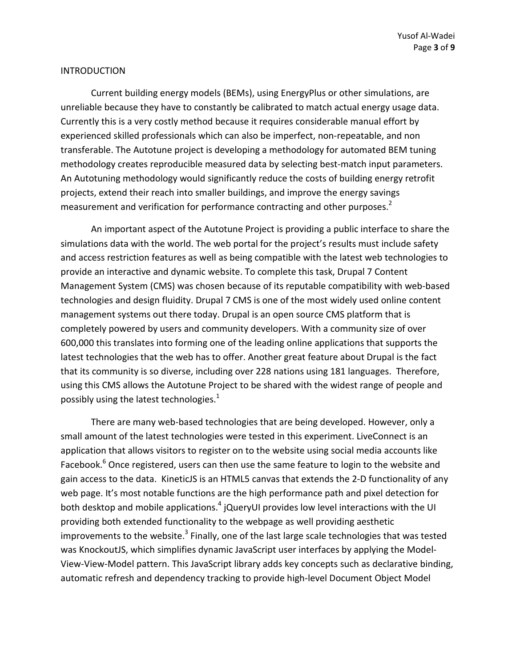#### INTRODUCTION

Current building energy models (BEMs), using EnergyPlus or other simulations, are unreliable because they have to constantly be calibrated to match actual energy usage data. Currently this is a very costly method because it requires considerable manual effort by experienced skilled professionals which can also be imperfect, non-repeatable, and non transferable. The Autotune project is developing a methodology for automated BEM tuning methodology creates reproducible measured data by selecting best-match input parameters. An Autotuning methodology would significantly reduce the costs of building energy retrofit projects, extend their reach into smaller buildings, and improve the energy savings measurement and verification for performance contracting and other purposes.<sup>2</sup>

An important aspect of the Autotune Project is providing a public interface to share the simulations data with the world. The web portal for the project's results must include safety and access restriction features as well as being compatible with the latest web technologies to provide an interactive and dynamic website. To complete this task, Drupal 7 Content Management System (CMS) was chosen because of its reputable compatibility with web-based technologies and design fluidity. Drupal 7 CMS is one of the most widely used online content management systems out there today. Drupal is an open source CMS platform that is completely powered by users and community developers. With a community size of over 600,000 this translates into forming one of the leading online applications that supports the latest technologies that the web has to offer. Another great feature about Drupal is the fact that its community is so diverse, including over 228 nations using 181 languages. Therefore, using this CMS allows the Autotune Project to be shared with the widest range of people and possibly using the latest technologies.<sup>1</sup>

There are many web-based technologies that are being developed. However, only a small amount of the latest technologies were tested in this experiment. LiveConnect is an application that allows visitors to register on to the website using social media accounts like Facebook.<sup>6</sup> Once registered, users can then use the same feature to login to the website and gain access to the data. KineticJS is an HTML5 canvas that extends the 2-D functionality of any web page. It's most notable functions are the high performance path and pixel detection for both desktop and mobile applications. $4$  jQueryUI provides low level interactions with the UI providing both extended functionality to the webpage as well providing aesthetic improvements to the website. $3$  Finally, one of the last large scale technologies that was tested was KnockoutJS, which simplifies dynamic JavaScript user interfaces by applying the Model-View-View-Model pattern. This JavaScript library adds key concepts such as declarative binding, automatic refresh and dependency tracking to provide high-level Document Object Model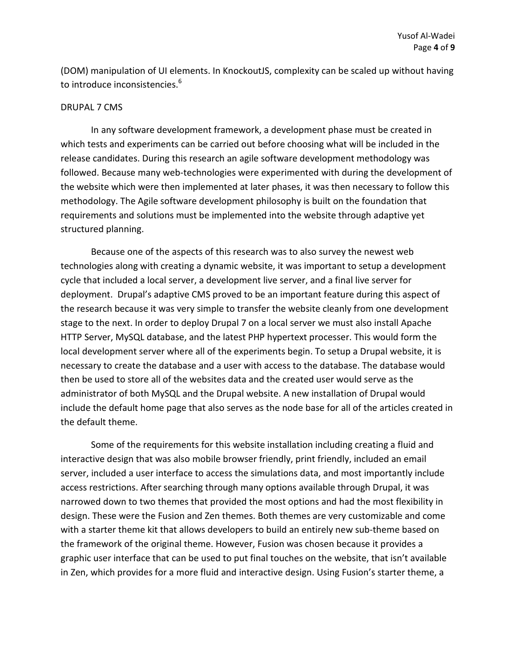(DOM) manipulation of UI elements. In KnockoutJS, complexity can be scaled up without having to introduce inconsistencies.<sup>6</sup>

## DRUPAL 7 CMS

In any software development framework, a development phase must be created in which tests and experiments can be carried out before choosing what will be included in the release candidates. During this research an agile software development methodology was followed. Because many web-technologies were experimented with during the development of the website which were then implemented at later phases, it was then necessary to follow this methodology. The Agile software development philosophy is built on the foundation that requirements and solutions must be implemented into the website through adaptive yet structured planning.

Because one of the aspects of this research was to also survey the newest web technologies along with creating a dynamic website, it was important to setup a development cycle that included a local server, a development live server, and a final live server for deployment. Drupal's adaptive CMS proved to be an important feature during this aspect of the research because it was very simple to transfer the website cleanly from one development stage to the next. In order to deploy Drupal 7 on a local server we must also install Apache HTTP Server, MySQL database, and the latest PHP hypertext processer. This would form the local development server where all of the experiments begin. To setup a Drupal website, it is necessary to create the database and a user with access to the database. The database would then be used to store all of the websites data and the created user would serve as the administrator of both MySQL and the Drupal website. A new installation of Drupal would include the default home page that also serves as the node base for all of the articles created in the default theme.

Some of the requirements for this website installation including creating a fluid and interactive design that was also mobile browser friendly, print friendly, included an email server, included a user interface to access the simulations data, and most importantly include access restrictions. After searching through many options available through Drupal, it was narrowed down to two themes that provided the most options and had the most flexibility in design. These were the Fusion and Zen themes. Both themes are very customizable and come with a starter theme kit that allows developers to build an entirely new sub-theme based on the framework of the original theme. However, Fusion was chosen because it provides a graphic user interface that can be used to put final touches on the website, that isn't available in Zen, which provides for a more fluid and interactive design. Using Fusion's starter theme, a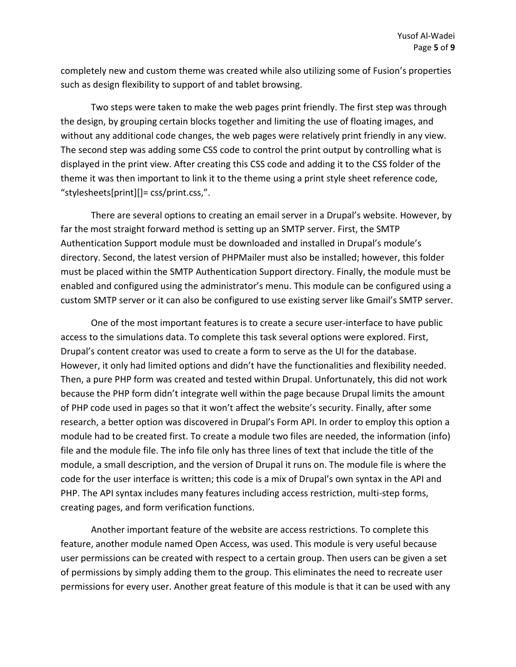completely new and custom theme was created while also utilizing some of Fusion's properties such as design flexibility to support of and tablet browsing.

Two steps were taken to make the web pages print friendly. The first step was through the design, by grouping certain blocks together and limiting the use of floating images, and without any additional code changes, the web pages were relatively print friendly in any view. The second step was adding some CSS code to control the print output by controlling what is displayed in the print view. After creating this CSS code and adding it to the CSS folder of the theme it was then important to link it to the theme using a print style sheet reference code, "stylesheets[print][]= css/print.css,".

There are several options to creating an email server in a Drupal's website. However, by far the most straight forward method is setting up an SMTP server. First, the SMTP Authentication Support module must be downloaded and installed in Drupal's module's directory. Second, the latest version of PHPMailer must also be installed; however, this folder must be placed within the SMTP Authentication Support directory. Finally, the module must be enabled and configured using the administrator's menu. This module can be configured using a custom SMTP server or it can also be configured to use existing server like Gmail's SMTP server.

One of the most important features is to create a secure user-interface to have public access to the simulations data. To complete this task several options were explored. First, Drupal's content creator was used to create a form to serve as the UI for the database. However, it only had limited options and didn't have the functionalities and flexibility needed. Then, a pure PHP form was created and tested within Drupal. Unfortunately, this did not work because the PHP form didn't integrate well within the page because Drupal limits the amount of PHP code used in pages so that it won't affect the website's security. Finally, after some research, a better option was discovered in Drupal's Form API. In order to employ this option a module had to be created first. To create a module two files are needed, the information (info) file and the module file. The info file only has three lines of text that include the title of the module, a small description, and the version of Drupal it runs on. The module file is where the code for the user interface is written; this code is a mix of Drupal's own syntax in the API and PHP. The API syntax includes many features including access restriction, multi-step forms, creating pages, and form verification functions.

Another important feature of the website are access restrictions. To complete this feature, another module named Open Access, was used. This module is very useful because user permissions can be created with respect to a certain group. Then users can be given a set of permissions by simply adding them to the group. This eliminates the need to recreate user permissions for every user. Another great feature of this module is that it can be used with any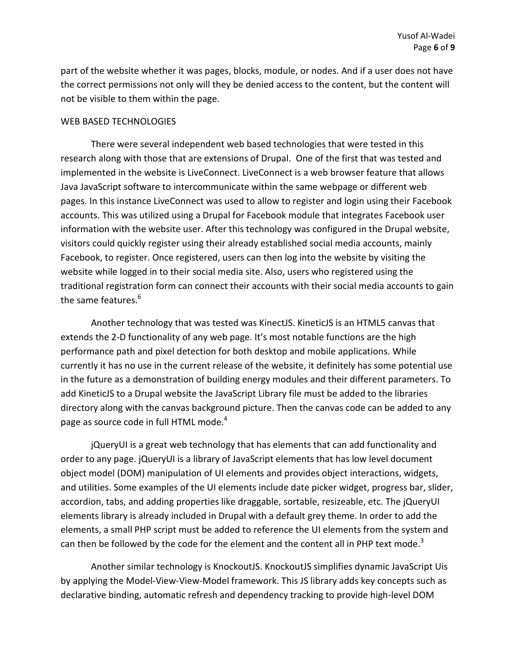part of the website whether it was pages, blocks, module, or nodes. And if a user does not have the correct permissions not only will they be denied access to the content, but the content will not be visible to them within the page.

#### WEB BASED TECHNOLOGIES

There were several independent web based technologies that were tested in this research along with those that are extensions of Drupal. One of the first that was tested and implemented in the website is LiveConnect. LiveConnect is a web browser feature that allows Java JavaScript software to intercommunicate within the same webpage or different web pages. In this instance LiveConnect was used to allow to register and login using their Facebook accounts. This was utilized using a Drupal for Facebook module that integrates Facebook user information with the website user. After this technology was configured in the Drupal website, visitors could quickly register using their already established social media accounts, mainly Facebook, to register. Once registered, users can then log into the website by visiting the website while logged in to their social media site. Also, users who registered using the traditional registration form can connect their accounts with their social media accounts to gain the same features.<sup>6</sup>

Another technology that was tested was KinectJS. KineticJS is an HTML5 canvas that extends the 2-D functionality of any web page. It's most notable functions are the high performance path and pixel detection for both desktop and mobile applications. While currently it has no use in the current release of the website, it definitely has some potential use in the future as a demonstration of building energy modules and their different parameters. To add KineticJS to a Drupal website the JavaScript Library file must be added to the libraries directory along with the canvas background picture. Then the canvas code can be added to any page as source code in full HTML mode.<sup>4</sup>

jQueryUI is a great web technology that has elements that can add functionality and order to any page. jQueryUI is a library of JavaScript elements that has low level document object model (DOM) manipulation of UI elements and provides object interactions, widgets, and utilities. Some examples of the UI elements include date picker widget, progress bar, slider, accordion, tabs, and adding properties like draggable, sortable, resizeable, etc. The jQueryUI elements library is already included in Drupal with a default grey theme. In order to add the elements, a small PHP script must be added to reference the UI elements from the system and can then be followed by the code for the element and the content all in PHP text mode.<sup>3</sup>

Another similar technology is KnockoutJS. KnockoutJS simplifies dynamic JavaScript Uis by applying the Model-View-View-Model framework. This JS library adds key concepts such as declarative binding, automatic refresh and dependency tracking to provide high-level DOM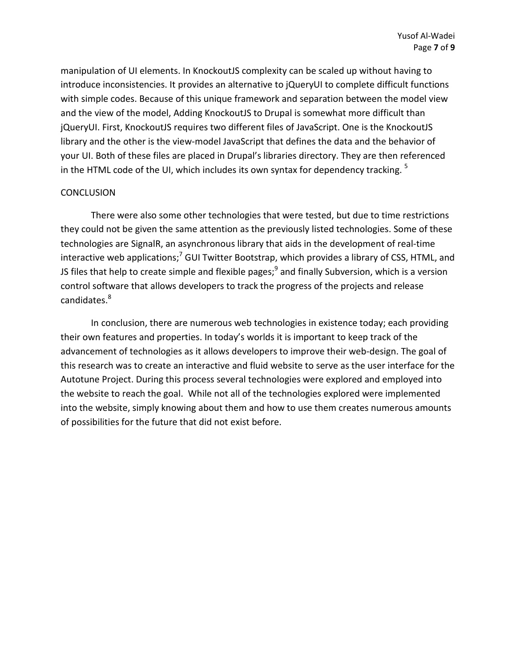manipulation of UI elements. In KnockoutJS complexity can be scaled up without having to introduce inconsistencies. It provides an alternative to jQueryUI to complete difficult functions with simple codes. Because of this unique framework and separation between the model view and the view of the model, Adding KnockoutJS to Drupal is somewhat more difficult than jQueryUI. First, KnockoutJS requires two different files of JavaScript. One is the KnockoutJS library and the other is the view-model JavaScript that defines the data and the behavior of your UI. Both of these files are placed in Drupal's libraries directory. They are then referenced in the HTML code of the UI, which includes its own syntax for dependency tracking.  $5$ 

# **CONCLUSION**

There were also some other technologies that were tested, but due to time restrictions they could not be given the same attention as the previously listed technologies. Some of these technologies are SignalR, an asynchronous library that aids in the development of real-time interactive web applications;<sup>7</sup> GUI Twitter Bootstrap, which provides a library of CSS, HTML, and JS files that help to create simple and flexible pages;<sup>9</sup> and finally Subversion, which is a version control software that allows developers to track the progress of the projects and release candidates.<sup>8</sup>

In conclusion, there are numerous web technologies in existence today; each providing their own features and properties. In today's worlds it is important to keep track of the advancement of technologies as it allows developers to improve their web-design. The goal of this research was to create an interactive and fluid website to serve as the user interface for the Autotune Project. During this process several technologies were explored and employed into the website to reach the goal. While not all of the technologies explored were implemented into the website, simply knowing about them and how to use them creates numerous amounts of possibilities for the future that did not exist before.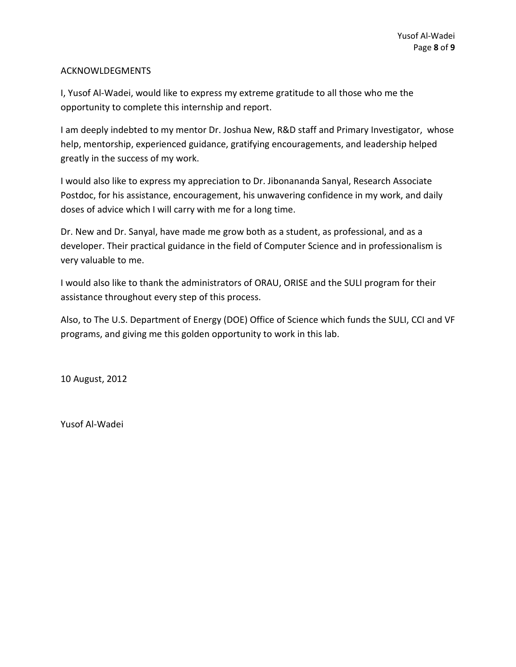# ACKNOWLDEGMENTS

I, Yusof Al-Wadei, would like to express my extreme gratitude to all those who me the opportunity to complete this internship and report.

I am deeply indebted to my mentor Dr. Joshua New, R&D staff and Primary Investigator, whose help, mentorship, experienced guidance, gratifying encouragements, and leadership helped greatly in the success of my work.

I would also like to express my appreciation to Dr. Jibonananda Sanyal, Research Associate Postdoc, for his assistance, encouragement, his unwavering confidence in my work, and daily doses of advice which I will carry with me for a long time.

Dr. New and Dr. Sanyal, have made me grow both as a student, as professional, and as a developer. Their practical guidance in the field of Computer Science and in professionalism is very valuable to me.

I would also like to thank the administrators of ORAU, ORISE and the SULI program for their assistance throughout every step of this process.

Also, to The U.S. Department of Energy (DOE) Office of Science which funds the SULI, CCI and VF programs, and giving me this golden opportunity to work in this lab.

10 August, 2012

Yusof Al-Wadei